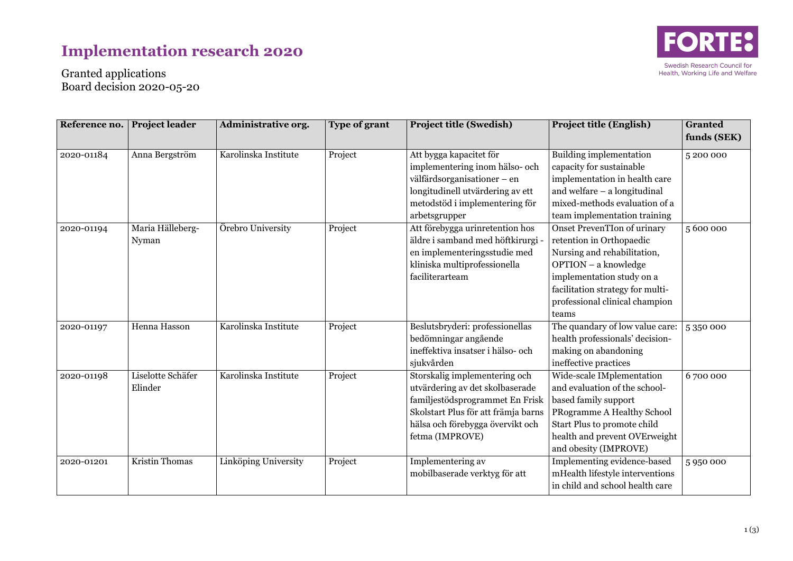## **Implementation research 2020**



Granted applications Board decision 2020-05-20

| Reference no. | <b>Project leader</b>        | Administrative org.  | <b>Type of grant</b> | <b>Project title (Swedish)</b>                                                                                                                                                                    | <b>Project title (English)</b>                                                                                                                                                                                                                                    | <b>Granted</b><br>funds (SEK) |
|---------------|------------------------------|----------------------|----------------------|---------------------------------------------------------------------------------------------------------------------------------------------------------------------------------------------------|-------------------------------------------------------------------------------------------------------------------------------------------------------------------------------------------------------------------------------------------------------------------|-------------------------------|
| 2020-01184    | Anna Bergström               | Karolinska Institute | Project              | Att bygga kapacitet för<br>implementering inom hälso- och<br>välfärdsorganisationer – en<br>longitudinell utvärdering av ett<br>metodstöd i implementering för                                    | Building implementation<br>capacity for sustainable<br>implementation in health care<br>and welfare $-$ a longitudinal<br>mixed-methods evaluation of a                                                                                                           | 5200000                       |
| 2020-01194    | Maria Hälleberg-<br>Nyman    | Örebro University    | Project              | arbetsgrupper<br>Att förebygga urinretention hos<br>äldre i samband med höftkirurgi -<br>en implementeringsstudie med<br>kliniska multiprofessionella<br>faciliterarteam                          | team implementation training<br><b>Onset PrevenTIon of urinary</b><br>retention in Orthopaedic<br>Nursing and rehabilitation,<br>OPTION - a knowledge<br>implementation study on a<br>facilitation strategy for multi-<br>professional clinical champion<br>teams | 5600000                       |
| 2020-01197    | Henna Hasson                 | Karolinska Institute | Project              | Beslutsbryderi: professionellas<br>bedömningar angående<br>ineffektiva insatser i hälso- och<br>sjukvården                                                                                        | The quandary of low value care:<br>health professionals' decision-<br>making on abandoning<br>ineffective practices                                                                                                                                               | 5350000                       |
| 2020-01198    | Liselotte Schäfer<br>Elinder | Karolinska Institute | Project              | Storskalig implementering och<br>utvärdering av det skolbaserade<br>familjestödsprogrammet En Frisk<br>Skolstart Plus för att främja barns<br>hälsa och förebygga övervikt och<br>fetma (IMPROVE) | Wide-scale IMplementation<br>and evaluation of the school-<br>based family support<br>PRogramme A Healthy School<br>Start Plus to promote child<br>health and prevent OVErweight<br>and obesity (IMPROVE)                                                         | 6700000                       |
| 2020-01201    | Kristin Thomas               | Linköping University | Project              | Implementering av<br>mobilbaserade verktyg för att                                                                                                                                                | Implementing evidence-based<br>mHealth lifestyle interventions<br>in child and school health care                                                                                                                                                                 | 5950000                       |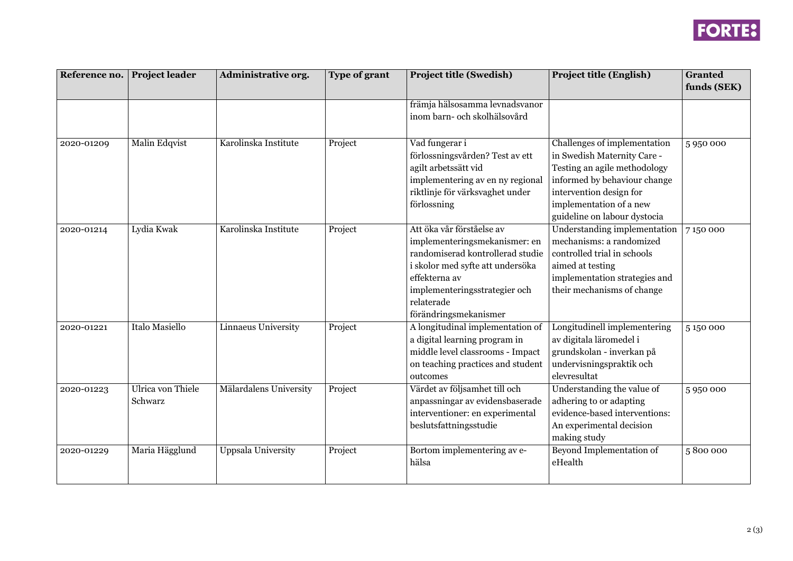

| Reference no. | <b>Project leader</b> | <b>Administrative org.</b> | <b>Type of grant</b> | <b>Project title (Swedish)</b>    | <b>Project title (English)</b>      | <b>Granted</b> |
|---------------|-----------------------|----------------------------|----------------------|-----------------------------------|-------------------------------------|----------------|
|               |                       |                            |                      |                                   |                                     | funds (SEK)    |
|               |                       |                            |                      | främja hälsosamma levnadsvanor    |                                     |                |
|               |                       |                            |                      | inom barn- och skolhälsovård      |                                     |                |
| 2020-01209    | <b>Malin Edqvist</b>  | Karolinska Institute       | Project              | Vad fungerar i                    | Challenges of implementation        | 5950000        |
|               |                       |                            |                      | förlossningsvården? Test av ett   | in Swedish Maternity Care -         |                |
|               |                       |                            |                      | agilt arbetssätt vid              | Testing an agile methodology        |                |
|               |                       |                            |                      | implementering av en ny regional  | informed by behaviour change        |                |
|               |                       |                            |                      | riktlinje för värksvaghet under   | intervention design for             |                |
|               |                       |                            |                      | förlossning                       | implementation of a new             |                |
|               |                       |                            |                      |                                   | guideline on labour dystocia        |                |
| 2020-01214    | Lydia Kwak            | Karolinska Institute       | Project              | Att öka vår förståelse av         | <b>Understanding implementation</b> | 7150000        |
|               |                       |                            |                      | implementeringsmekanismer: en     | mechanisms: a randomized            |                |
|               |                       |                            |                      | randomiserad kontrollerad studie  | controlled trial in schools         |                |
|               |                       |                            |                      | i skolor med syfte att undersöka  | aimed at testing                    |                |
|               |                       |                            |                      | effekterna av                     | implementation strategies and       |                |
|               |                       |                            |                      | implementeringsstrategier och     | their mechanisms of change          |                |
|               |                       |                            |                      | relaterade                        |                                     |                |
|               |                       |                            |                      | förändringsmekanismer             |                                     |                |
| 2020-01221    | <b>Italo Masiello</b> | <b>Linnaeus University</b> | Project              | A longitudinal implementation of  | Longitudinell implementering        | 5150000        |
|               |                       |                            |                      | a digital learning program in     | av digitala läromedel i             |                |
|               |                       |                            |                      | middle level classrooms - Impact  | grundskolan - inverkan på           |                |
|               |                       |                            |                      | on teaching practices and student | undervisningspraktik och            |                |
|               |                       |                            |                      | outcomes                          | elevresultat                        |                |
| 2020-01223    | Ulrica von Thiele     | Mälardalens University     | Project              | Värdet av följsamhet till och     | Understanding the value of          | 5950000        |
|               | Schwarz               |                            |                      | anpassningar av evidensbaserade   | adhering to or adapting             |                |
|               |                       |                            |                      | interventioner: en experimental   | evidence-based interventions:       |                |
|               |                       |                            |                      | beslutsfattningsstudie            | An experimental decision            |                |
|               |                       |                            |                      |                                   | making study                        |                |
| 2020-01229    | Maria Hägglund        | <b>Uppsala University</b>  | Project              | Bortom implementering av e-       | Beyond Implementation of            | 5800000        |
|               |                       |                            |                      | hälsa                             | $\operatorname{eHealth}$            |                |
|               |                       |                            |                      |                                   |                                     |                |